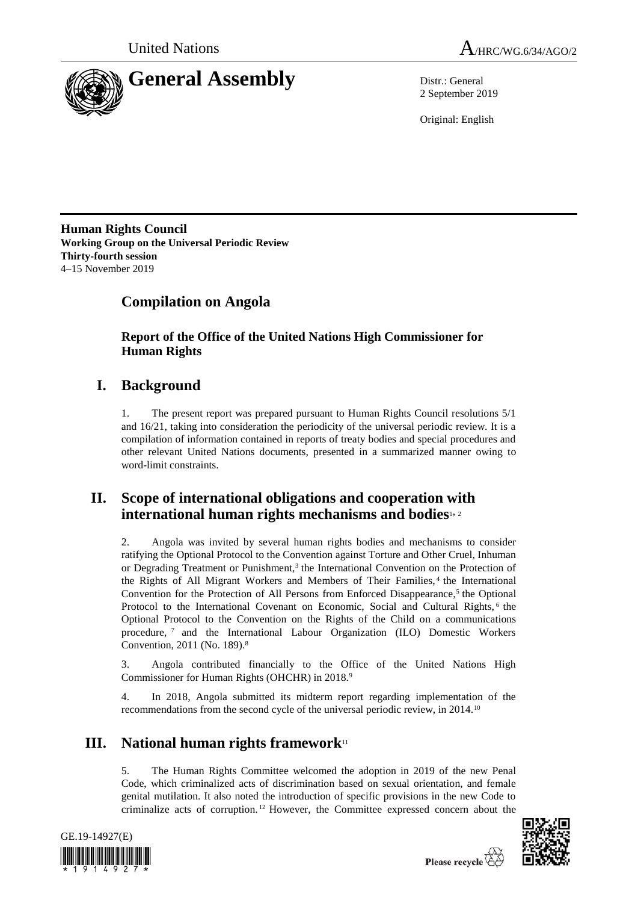



2 September 2019

Original: English

**Human Rights Council Working Group on the Universal Periodic Review Thirty-fourth session** 4–15 November 2019

# **Compilation on Angola**

**Report of the Office of the United Nations High Commissioner for Human Rights**

## **I. Background**

1. The present report was prepared pursuant to Human Rights Council resolutions 5/1 and 16/21, taking into consideration the periodicity of the universal periodic review. It is a compilation of information contained in reports of treaty bodies and special procedures and other relevant United Nations documents, presented in a summarized manner owing to word-limit constraints.

## **II. Scope of international obligations and cooperation with international human rights mechanisms and bodies**1, <sup>2</sup>

2. Angola was invited by several human rights bodies and mechanisms to consider ratifying the Optional Protocol to the Convention against Torture and Other Cruel, Inhuman or Degrading Treatment or Punishment,<sup>3</sup> the International Convention on the Protection of the Rights of All Migrant Workers and Members of Their Families,<sup>4</sup> the International Convention for the Protection of All Persons from Enforced Disappearance,<sup>5</sup> the Optional Protocol to the International Covenant on Economic, Social and Cultural Rights, <sup>6</sup> the Optional Protocol to the Convention on the Rights of the Child on a communications procedure, <sup>7</sup> and the International Labour Organization (ILO) Domestic Workers Convention, 2011 (No. 189).<sup>8</sup>

3. Angola contributed financially to the Office of the United Nations High Commissioner for Human Rights (OHCHR) in 2018.<sup>9</sup>

4. In 2018, Angola submitted its midterm report regarding implementation of the recommendations from the second cycle of the universal periodic review, in 2014.<sup>10</sup>

# **III. National human rights framework**<sup>11</sup>

5. The Human Rights Committee welcomed the adoption in 2019 of the new Penal Code, which criminalized acts of discrimination based on sexual orientation, and female genital mutilation. It also noted the introduction of specific provisions in the new Code to criminalize acts of corruption. <sup>12</sup> However, the Committee expressed concern about the





Please recycle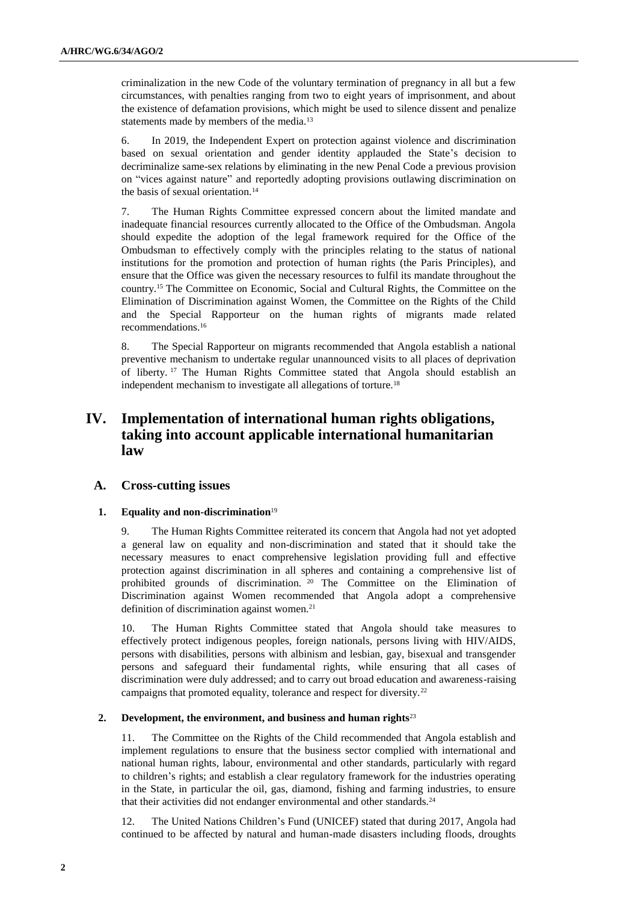criminalization in the new Code of the voluntary termination of pregnancy in all but a few circumstances, with penalties ranging from two to eight years of imprisonment, and about the existence of defamation provisions, which might be used to silence dissent and penalize statements made by members of the media.<sup>13</sup>

6. In 2019, the Independent Expert on protection against violence and discrimination based on sexual orientation and gender identity applauded the State's decision to decriminalize same-sex relations by eliminating in the new Penal Code a previous provision on "vices against nature" and reportedly adopting provisions outlawing discrimination on the basis of sexual orientation.<sup>14</sup>

7. The Human Rights Committee expressed concern about the limited mandate and inadequate financial resources currently allocated to the Office of the Ombudsman. Angola should expedite the adoption of the legal framework required for the Office of the Ombudsman to effectively comply with the principles relating to the status of national institutions for the promotion and protection of human rights (the Paris Principles), and ensure that the Office was given the necessary resources to fulfil its mandate throughout the country.<sup>15</sup> The Committee on Economic, Social and Cultural Rights, the Committee on the Elimination of Discrimination against Women, the Committee on the Rights of the Child and the Special Rapporteur on the human rights of migrants made related recommendations.<sup>16</sup>

8. The Special Rapporteur on migrants recommended that Angola establish a national preventive mechanism to undertake regular unannounced visits to all places of deprivation of liberty. <sup>17</sup> The Human Rights Committee stated that Angola should establish an independent mechanism to investigate all allegations of torture.<sup>18</sup>

## **IV. Implementation of international human rights obligations, taking into account applicable international humanitarian law**

## **A. Cross-cutting issues**

#### **1. Equality and non-discrimination**<sup>19</sup>

9. The Human Rights Committee reiterated its concern that Angola had not yet adopted a general law on equality and non-discrimination and stated that it should take the necessary measures to enact comprehensive legislation providing full and effective protection against discrimination in all spheres and containing a comprehensive list of prohibited grounds of discrimination. <sup>20</sup> The Committee on the Elimination of Discrimination against Women recommended that Angola adopt a comprehensive definition of discrimination against women.<sup>21</sup>

10. The Human Rights Committee stated that Angola should take measures to effectively protect indigenous peoples, foreign nationals, persons living with HIV/AIDS, persons with disabilities, persons with albinism and lesbian, gay, bisexual and transgender persons and safeguard their fundamental rights, while ensuring that all cases of discrimination were duly addressed; and to carry out broad education and awareness-raising campaigns that promoted equality, tolerance and respect for diversity.<sup>22</sup>

#### **2. Development, the environment, and business and human rights**<sup>23</sup>

11. The Committee on the Rights of the Child recommended that Angola establish and implement regulations to ensure that the business sector complied with international and national human rights, labour, environmental and other standards, particularly with regard to children's rights; and establish a clear regulatory framework for the industries operating in the State, in particular the oil, gas, diamond, fishing and farming industries, to ensure that their activities did not endanger environmental and other standards.<sup>24</sup>

12. The United Nations Children's Fund (UNICEF) stated that during 2017, Angola had continued to be affected by natural and human-made disasters including floods, droughts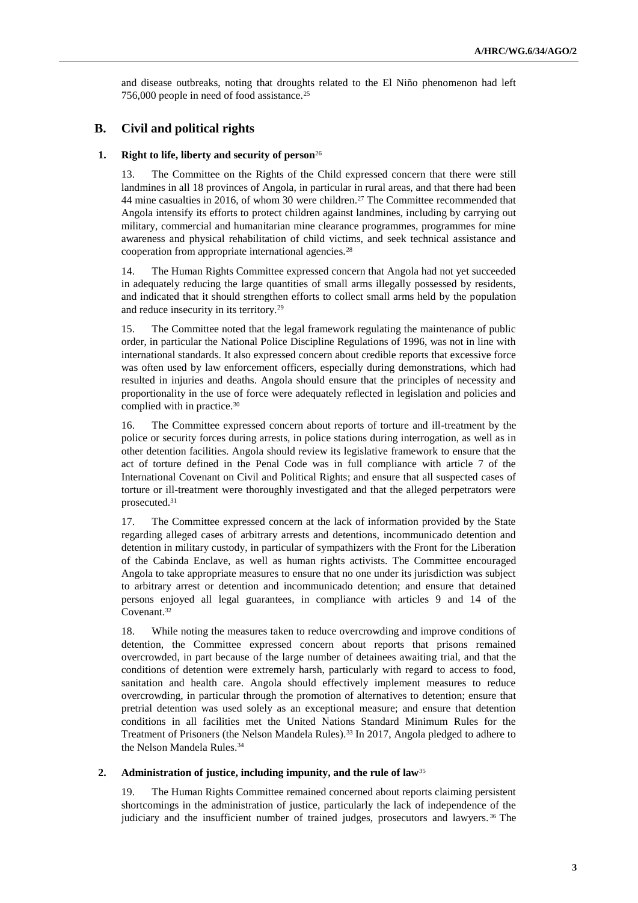and disease outbreaks, noting that droughts related to the El Niño phenomenon had left 756,000 people in need of food assistance.<sup>25</sup>

## **B. Civil and political rights**

## **1. Right to life, liberty and security of person**<sup>26</sup>

13. The Committee on the Rights of the Child expressed concern that there were still landmines in all 18 provinces of Angola, in particular in rural areas, and that there had been 44 mine casualties in 2016, of whom 30 were children.<sup>27</sup> The Committee recommended that Angola intensify its efforts to protect children against landmines, including by carrying out military, commercial and humanitarian mine clearance programmes, programmes for mine awareness and physical rehabilitation of child victims, and seek technical assistance and cooperation from appropriate international agencies.<sup>28</sup>

14. The Human Rights Committee expressed concern that Angola had not yet succeeded in adequately reducing the large quantities of small arms illegally possessed by residents, and indicated that it should strengthen efforts to collect small arms held by the population and reduce insecurity in its territory.<sup>29</sup>

15. The Committee noted that the legal framework regulating the maintenance of public order, in particular the National Police Discipline Regulations of 1996, was not in line with international standards. It also expressed concern about credible reports that excessive force was often used by law enforcement officers, especially during demonstrations, which had resulted in injuries and deaths. Angola should ensure that the principles of necessity and proportionality in the use of force were adequately reflected in legislation and policies and complied with in practice.<sup>30</sup>

16. The Committee expressed concern about reports of torture and ill-treatment by the police or security forces during arrests, in police stations during interrogation, as well as in other detention facilities. Angola should review its legislative framework to ensure that the act of torture defined in the Penal Code was in full compliance with article 7 of the International Covenant on Civil and Political Rights; and ensure that all suspected cases of torture or ill-treatment were thoroughly investigated and that the alleged perpetrators were prosecuted.<sup>31</sup>

17. The Committee expressed concern at the lack of information provided by the State regarding alleged cases of arbitrary arrests and detentions, incommunicado detention and detention in military custody, in particular of sympathizers with the Front for the Liberation of the Cabinda Enclave, as well as human rights activists. The Committee encouraged Angola to take appropriate measures to ensure that no one under its jurisdiction was subject to arbitrary arrest or detention and incommunicado detention; and ensure that detained persons enjoyed all legal guarantees, in compliance with articles 9 and 14 of the Covenant.<sup>32</sup>

18. While noting the measures taken to reduce overcrowding and improve conditions of detention, the Committee expressed concern about reports that prisons remained overcrowded, in part because of the large number of detainees awaiting trial, and that the conditions of detention were extremely harsh, particularly with regard to access to food, sanitation and health care. Angola should effectively implement measures to reduce overcrowding, in particular through the promotion of alternatives to detention; ensure that pretrial detention was used solely as an exceptional measure; and ensure that detention conditions in all facilities met the United Nations Standard Minimum Rules for the Treatment of Prisoners (the Nelson Mandela Rules).<sup>33</sup> In 2017, Angola pledged to adhere to the Nelson Mandela Rules.<sup>34</sup>

#### **2. Administration of justice, including impunity, and the rule of law**<sup>35</sup>

19. The Human Rights Committee remained concerned about reports claiming persistent shortcomings in the administration of justice, particularly the lack of independence of the judiciary and the insufficient number of trained judges, prosecutors and lawyers. <sup>36</sup> The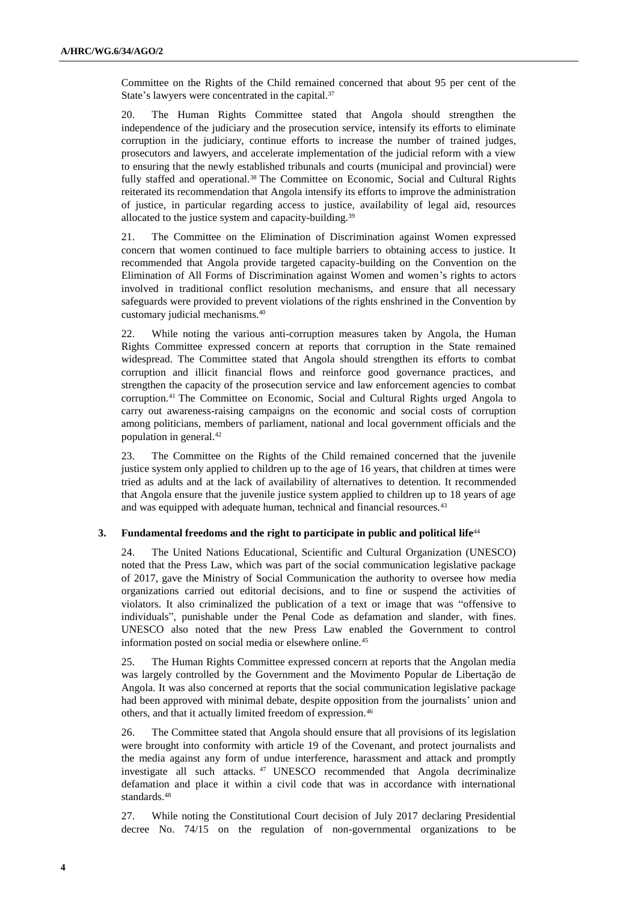Committee on the Rights of the Child remained concerned that about 95 per cent of the State's lawyers were concentrated in the capital.<sup>37</sup>

20. The Human Rights Committee stated that Angola should strengthen the independence of the judiciary and the prosecution service, intensify its efforts to eliminate corruption in the judiciary, continue efforts to increase the number of trained judges, prosecutors and lawyers, and accelerate implementation of the judicial reform with a view to ensuring that the newly established tribunals and courts (municipal and provincial) were fully staffed and operational.<sup>38</sup> The Committee on Economic, Social and Cultural Rights reiterated its recommendation that Angola intensify its efforts to improve the administration of justice, in particular regarding access to justice, availability of legal aid, resources allocated to the justice system and capacity-building.<sup>39</sup>

21. The Committee on the Elimination of Discrimination against Women expressed concern that women continued to face multiple barriers to obtaining access to justice. It recommended that Angola provide targeted capacity-building on the Convention on the Elimination of All Forms of Discrimination against Women and women's rights to actors involved in traditional conflict resolution mechanisms, and ensure that all necessary safeguards were provided to prevent violations of the rights enshrined in the Convention by customary judicial mechanisms.<sup>40</sup>

22. While noting the various anti-corruption measures taken by Angola, the Human Rights Committee expressed concern at reports that corruption in the State remained widespread. The Committee stated that Angola should strengthen its efforts to combat corruption and illicit financial flows and reinforce good governance practices, and strengthen the capacity of the prosecution service and law enforcement agencies to combat corruption.<sup>41</sup> The Committee on Economic, Social and Cultural Rights urged Angola to carry out awareness-raising campaigns on the economic and social costs of corruption among politicians, members of parliament, national and local government officials and the population in general.<sup>42</sup>

23. The Committee on the Rights of the Child remained concerned that the juvenile justice system only applied to children up to the age of 16 years, that children at times were tried as adults and at the lack of availability of alternatives to detention. It recommended that Angola ensure that the juvenile justice system applied to children up to 18 years of age and was equipped with adequate human, technical and financial resources.<sup>43</sup>

## **3. Fundamental freedoms and the right to participate in public and political life**<sup>44</sup>

24. The United Nations Educational, Scientific and Cultural Organization (UNESCO) noted that the Press Law, which was part of the social communication legislative package of 2017, gave the Ministry of Social Communication the authority to oversee how media organizations carried out editorial decisions, and to fine or suspend the activities of violators. It also criminalized the publication of a text or image that was "offensive to individuals", punishable under the Penal Code as defamation and slander, with fines. UNESCO also noted that the new Press Law enabled the Government to control information posted on social media or elsewhere online.<sup>45</sup>

25. The Human Rights Committee expressed concern at reports that the Angolan media was largely controlled by the Government and the Movimento Popular de Libertação de Angola. It was also concerned at reports that the social communication legislative package had been approved with minimal debate, despite opposition from the journalists' union and others, and that it actually limited freedom of expression.<sup>46</sup>

26. The Committee stated that Angola should ensure that all provisions of its legislation were brought into conformity with article 19 of the Covenant, and protect journalists and the media against any form of undue interference, harassment and attack and promptly investigate all such attacks. <sup>47</sup> UNESCO recommended that Angola decriminalize defamation and place it within a civil code that was in accordance with international standards.<sup>48</sup>

27. While noting the Constitutional Court decision of July 2017 declaring Presidential decree No. 74/15 on the regulation of non-governmental organizations to be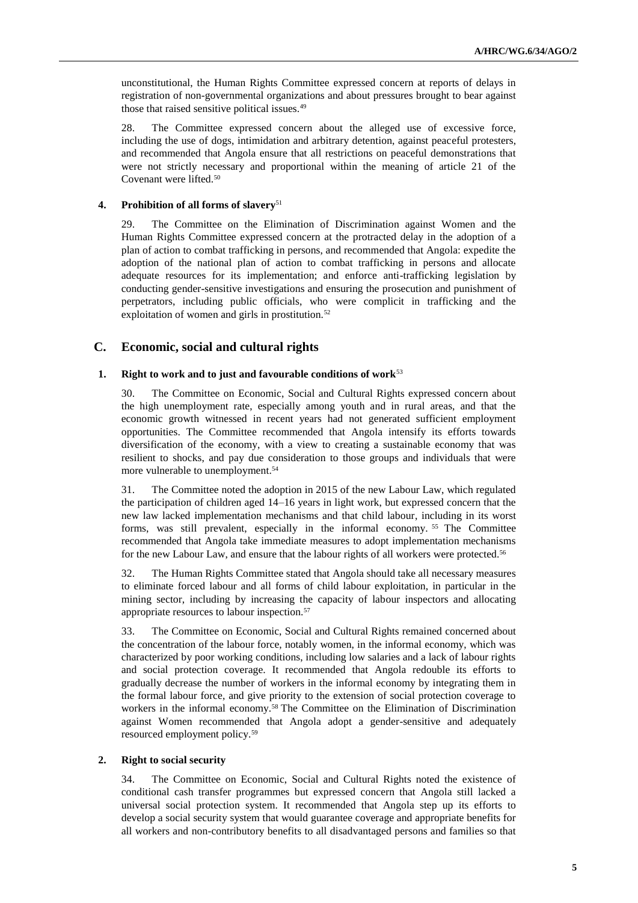unconstitutional, the Human Rights Committee expressed concern at reports of delays in registration of non-governmental organizations and about pressures brought to bear against those that raised sensitive political issues.<sup>49</sup>

28. The Committee expressed concern about the alleged use of excessive force, including the use of dogs, intimidation and arbitrary detention, against peaceful protesters, and recommended that Angola ensure that all restrictions on peaceful demonstrations that were not strictly necessary and proportional within the meaning of article 21 of the Covenant were lifted.<sup>50</sup>

## **4. Prohibition of all forms of slavery**<sup>51</sup>

29. The Committee on the Elimination of Discrimination against Women and the Human Rights Committee expressed concern at the protracted delay in the adoption of a plan of action to combat trafficking in persons, and recommended that Angola: expedite the adoption of the national plan of action to combat trafficking in persons and allocate adequate resources for its implementation; and enforce anti-trafficking legislation by conducting gender-sensitive investigations and ensuring the prosecution and punishment of perpetrators, including public officials, who were complicit in trafficking and the exploitation of women and girls in prostitution.<sup>52</sup>

## **C. Economic, social and cultural rights**

## **1. Right to work and to just and favourable conditions of work**<sup>53</sup>

30. The Committee on Economic, Social and Cultural Rights expressed concern about the high unemployment rate, especially among youth and in rural areas, and that the economic growth witnessed in recent years had not generated sufficient employment opportunities. The Committee recommended that Angola intensify its efforts towards diversification of the economy, with a view to creating a sustainable economy that was resilient to shocks, and pay due consideration to those groups and individuals that were more vulnerable to unemployment.<sup>54</sup>

31. The Committee noted the adoption in 2015 of the new Labour Law, which regulated the participation of children aged 14–16 years in light work, but expressed concern that the new law lacked implementation mechanisms and that child labour, including in its worst forms, was still prevalent, especially in the informal economy. <sup>55</sup> The Committee recommended that Angola take immediate measures to adopt implementation mechanisms for the new Labour Law, and ensure that the labour rights of all workers were protected.<sup>56</sup>

32. The Human Rights Committee stated that Angola should take all necessary measures to eliminate forced labour and all forms of child labour exploitation, in particular in the mining sector, including by increasing the capacity of labour inspectors and allocating appropriate resources to labour inspection.<sup>57</sup>

33. The Committee on Economic, Social and Cultural Rights remained concerned about the concentration of the labour force, notably women, in the informal economy, which was characterized by poor working conditions, including low salaries and a lack of labour rights and social protection coverage. It recommended that Angola redouble its efforts to gradually decrease the number of workers in the informal economy by integrating them in the formal labour force, and give priority to the extension of social protection coverage to workers in the informal economy.<sup>58</sup> The Committee on the Elimination of Discrimination against Women recommended that Angola adopt a gender-sensitive and adequately resourced employment policy.<sup>59</sup>

### **2. Right to social security**

34. The Committee on Economic, Social and Cultural Rights noted the existence of conditional cash transfer programmes but expressed concern that Angola still lacked a universal social protection system. It recommended that Angola step up its efforts to develop a social security system that would guarantee coverage and appropriate benefits for all workers and non-contributory benefits to all disadvantaged persons and families so that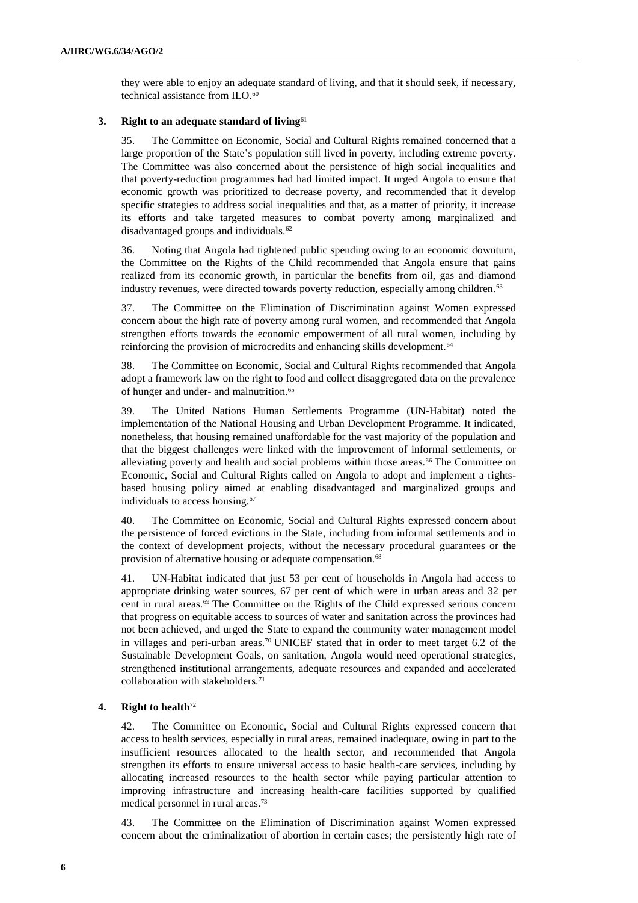they were able to enjoy an adequate standard of living, and that it should seek, if necessary, technical assistance from ILO.<sup>60</sup>

## **3. Right to an adequate standard of living**<sup>61</sup>

35. The Committee on Economic, Social and Cultural Rights remained concerned that a large proportion of the State's population still lived in poverty, including extreme poverty. The Committee was also concerned about the persistence of high social inequalities and that poverty-reduction programmes had had limited impact. It urged Angola to ensure that economic growth was prioritized to decrease poverty, and recommended that it develop specific strategies to address social inequalities and that, as a matter of priority, it increase its efforts and take targeted measures to combat poverty among marginalized and disadvantaged groups and individuals.<sup>62</sup>

36. Noting that Angola had tightened public spending owing to an economic downturn, the Committee on the Rights of the Child recommended that Angola ensure that gains realized from its economic growth, in particular the benefits from oil, gas and diamond industry revenues, were directed towards poverty reduction, especially among children.<sup>63</sup>

37. The Committee on the Elimination of Discrimination against Women expressed concern about the high rate of poverty among rural women, and recommended that Angola strengthen efforts towards the economic empowerment of all rural women, including by reinforcing the provision of microcredits and enhancing skills development.<sup>64</sup>

38. The Committee on Economic, Social and Cultural Rights recommended that Angola adopt a framework law on the right to food and collect disaggregated data on the prevalence of hunger and under- and malnutrition.<sup>65</sup>

39. The United Nations Human Settlements Programme (UN-Habitat) noted the implementation of the National Housing and Urban Development Programme. It indicated, nonetheless, that housing remained unaffordable for the vast majority of the population and that the biggest challenges were linked with the improvement of informal settlements, or alleviating poverty and health and social problems within those areas.<sup>66</sup> The Committee on Economic, Social and Cultural Rights called on Angola to adopt and implement a rightsbased housing policy aimed at enabling disadvantaged and marginalized groups and individuals to access housing.<sup>67</sup>

40. The Committee on Economic, Social and Cultural Rights expressed concern about the persistence of forced evictions in the State, including from informal settlements and in the context of development projects, without the necessary procedural guarantees or the provision of alternative housing or adequate compensation.<sup>68</sup>

41. UN-Habitat indicated that just 53 per cent of households in Angola had access to appropriate drinking water sources, 67 per cent of which were in urban areas and 32 per cent in rural areas.<sup>69</sup> The Committee on the Rights of the Child expressed serious concern that progress on equitable access to sources of water and sanitation across the provinces had not been achieved, and urged the State to expand the community water management model in villages and peri-urban areas.<sup>70</sup> UNICEF stated that in order to meet target 6.2 of the Sustainable Development Goals, on sanitation, Angola would need operational strategies, strengthened institutional arrangements, adequate resources and expanded and accelerated collaboration with stakeholders.<sup>71</sup>

## **4. Right to health**<sup>72</sup>

42. The Committee on Economic, Social and Cultural Rights expressed concern that access to health services, especially in rural areas, remained inadequate, owing in part to the insufficient resources allocated to the health sector, and recommended that Angola strengthen its efforts to ensure universal access to basic health-care services, including by allocating increased resources to the health sector while paying particular attention to improving infrastructure and increasing health-care facilities supported by qualified medical personnel in rural areas.<sup>73</sup>

43. The Committee on the Elimination of Discrimination against Women expressed concern about the criminalization of abortion in certain cases; the persistently high rate of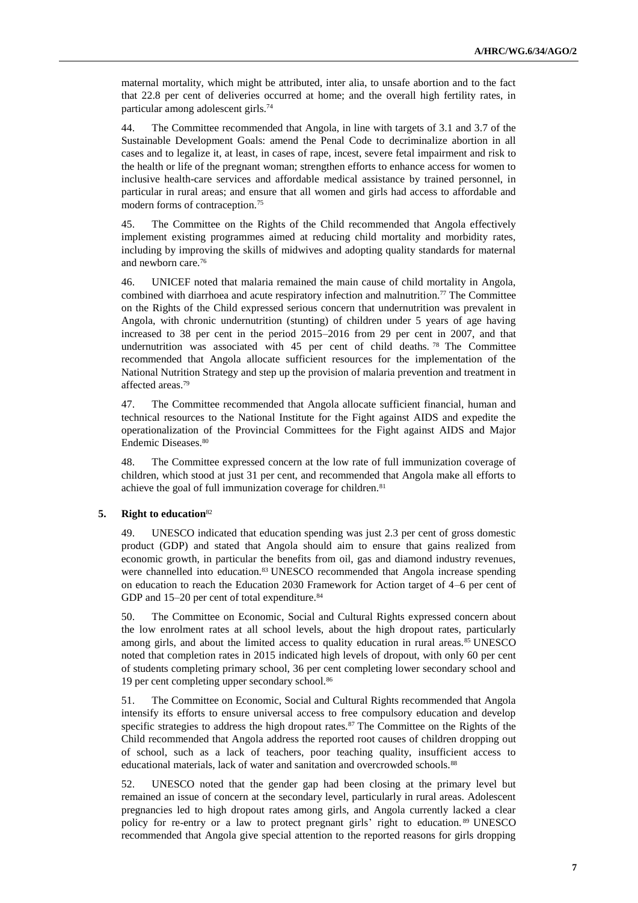maternal mortality, which might be attributed, inter alia, to unsafe abortion and to the fact that 22.8 per cent of deliveries occurred at home; and the overall high fertility rates, in particular among adolescent girls.<sup>74</sup>

44. The Committee recommended that Angola, in line with targets of 3.1 and 3.7 of the Sustainable Development Goals: amend the Penal Code to decriminalize abortion in all cases and to legalize it, at least, in cases of rape, incest, severe fetal impairment and risk to the health or life of the pregnant woman; strengthen efforts to enhance access for women to inclusive health-care services and affordable medical assistance by trained personnel, in particular in rural areas; and ensure that all women and girls had access to affordable and modern forms of contraception.<sup>75</sup>

45. The Committee on the Rights of the Child recommended that Angola effectively implement existing programmes aimed at reducing child mortality and morbidity rates, including by improving the skills of midwives and adopting quality standards for maternal and newborn care.<sup>76</sup>

46. UNICEF noted that malaria remained the main cause of child mortality in Angola, combined with diarrhoea and acute respiratory infection and malnutrition.<sup>77</sup> The Committee on the Rights of the Child expressed serious concern that undernutrition was prevalent in Angola, with chronic undernutrition (stunting) of children under 5 years of age having increased to 38 per cent in the period 2015–2016 from 29 per cent in 2007, and that undernutrition was associated with 45 per cent of child deaths. <sup>78</sup> The Committee recommended that Angola allocate sufficient resources for the implementation of the National Nutrition Strategy and step up the provision of malaria prevention and treatment in affected areas.<sup>79</sup>

47. The Committee recommended that Angola allocate sufficient financial, human and technical resources to the National Institute for the Fight against AIDS and expedite the operationalization of the Provincial Committees for the Fight against AIDS and Major Endemic Diseases.<sup>80</sup>

48. The Committee expressed concern at the low rate of full immunization coverage of children, which stood at just 31 per cent, and recommended that Angola make all efforts to achieve the goal of full immunization coverage for children.<sup>81</sup>

#### **5. Right to education**<sup>82</sup>

49. UNESCO indicated that education spending was just 2.3 per cent of gross domestic product (GDP) and stated that Angola should aim to ensure that gains realized from economic growth, in particular the benefits from oil, gas and diamond industry revenues, were channelled into education.<sup>83</sup> UNESCO recommended that Angola increase spending on education to reach the Education 2030 Framework for Action target of 4–6 per cent of GDP and 15–20 per cent of total expenditure.<sup>84</sup>

50. The Committee on Economic, Social and Cultural Rights expressed concern about the low enrolment rates at all school levels, about the high dropout rates, particularly among girls, and about the limited access to quality education in rural areas.<sup>85</sup> UNESCO noted that completion rates in 2015 indicated high levels of dropout, with only 60 per cent of students completing primary school, 36 per cent completing lower secondary school and 19 per cent completing upper secondary school.<sup>86</sup>

51. The Committee on Economic, Social and Cultural Rights recommended that Angola intensify its efforts to ensure universal access to free compulsory education and develop specific strategies to address the high dropout rates.<sup>87</sup> The Committee on the Rights of the Child recommended that Angola address the reported root causes of children dropping out of school, such as a lack of teachers, poor teaching quality, insufficient access to educational materials, lack of water and sanitation and overcrowded schools.<sup>88</sup>

52. UNESCO noted that the gender gap had been closing at the primary level but remained an issue of concern at the secondary level, particularly in rural areas. Adolescent pregnancies led to high dropout rates among girls, and Angola currently lacked a clear policy for re-entry or a law to protect pregnant girls' right to education. <sup>89</sup> UNESCO recommended that Angola give special attention to the reported reasons for girls dropping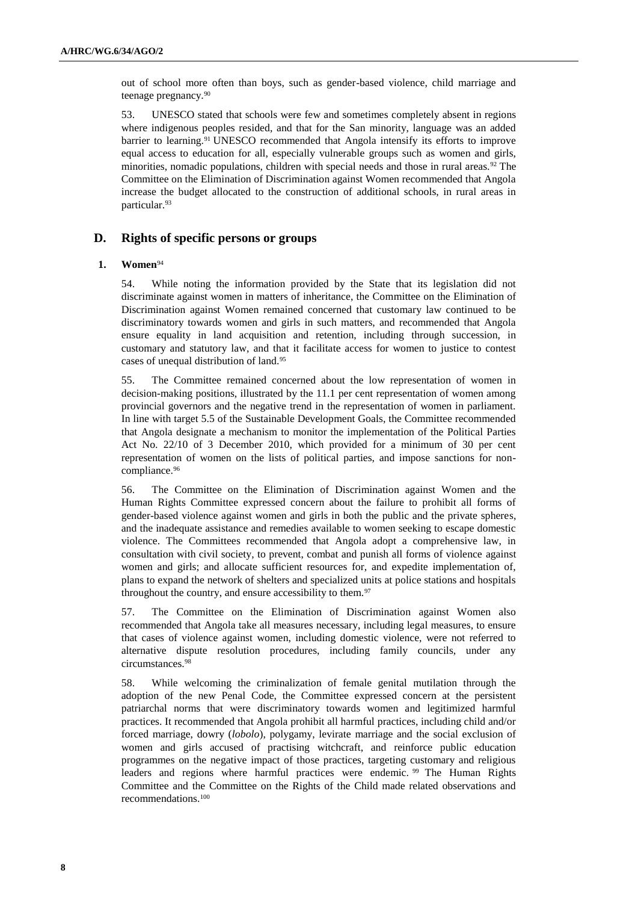out of school more often than boys, such as gender-based violence, child marriage and teenage pregnancy.<sup>90</sup>

53. UNESCO stated that schools were few and sometimes completely absent in regions where indigenous peoples resided, and that for the San minority, language was an added barrier to learning.<sup>91</sup> UNESCO recommended that Angola intensify its efforts to improve equal access to education for all, especially vulnerable groups such as women and girls, minorities, nomadic populations, children with special needs and those in rural areas.<sup>92</sup> The Committee on the Elimination of Discrimination against Women recommended that Angola increase the budget allocated to the construction of additional schools, in rural areas in particular.<sup>93</sup>

## **D. Rights of specific persons or groups**

## **1. Women**<sup>94</sup>

54. While noting the information provided by the State that its legislation did not discriminate against women in matters of inheritance, the Committee on the Elimination of Discrimination against Women remained concerned that customary law continued to be discriminatory towards women and girls in such matters, and recommended that Angola ensure equality in land acquisition and retention, including through succession, in customary and statutory law, and that it facilitate access for women to justice to contest cases of unequal distribution of land.<sup>95</sup>

55. The Committee remained concerned about the low representation of women in decision-making positions, illustrated by the 11.1 per cent representation of women among provincial governors and the negative trend in the representation of women in parliament. In line with target 5.5 of the Sustainable Development Goals, the Committee recommended that Angola designate a mechanism to monitor the implementation of the Political Parties Act No. 22/10 of 3 December 2010, which provided for a minimum of 30 per cent representation of women on the lists of political parties, and impose sanctions for noncompliance.<sup>96</sup>

56. The Committee on the Elimination of Discrimination against Women and the Human Rights Committee expressed concern about the failure to prohibit all forms of gender-based violence against women and girls in both the public and the private spheres, and the inadequate assistance and remedies available to women seeking to escape domestic violence. The Committees recommended that Angola adopt a comprehensive law, in consultation with civil society, to prevent, combat and punish all forms of violence against women and girls; and allocate sufficient resources for, and expedite implementation of, plans to expand the network of shelters and specialized units at police stations and hospitals throughout the country, and ensure accessibility to them.<sup>97</sup>

57. The Committee on the Elimination of Discrimination against Women also recommended that Angola take all measures necessary, including legal measures, to ensure that cases of violence against women, including domestic violence, were not referred to alternative dispute resolution procedures, including family councils, under any circumstances.<sup>98</sup>

58. While welcoming the criminalization of female genital mutilation through the adoption of the new Penal Code, the Committee expressed concern at the persistent patriarchal norms that were discriminatory towards women and legitimized harmful practices. It recommended that Angola prohibit all harmful practices, including child and/or forced marriage, dowry (*lobolo*), polygamy, levirate marriage and the social exclusion of women and girls accused of practising witchcraft, and reinforce public education programmes on the negative impact of those practices, targeting customary and religious leaders and regions where harmful practices were endemic. <sup>99</sup> The Human Rights Committee and the Committee on the Rights of the Child made related observations and recommendations.100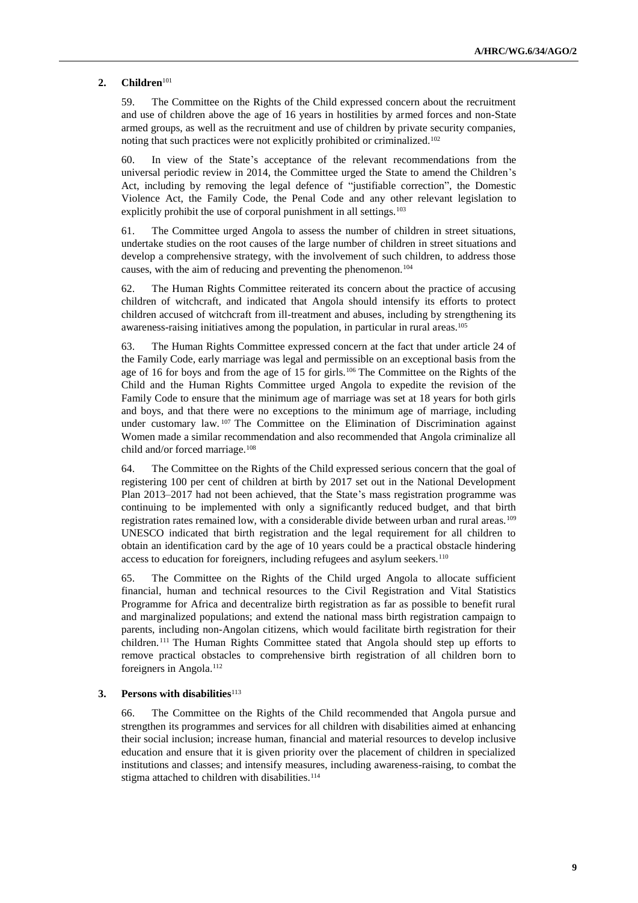#### **2. Children**<sup>101</sup>

59. The Committee on the Rights of the Child expressed concern about the recruitment and use of children above the age of 16 years in hostilities by armed forces and non-State armed groups, as well as the recruitment and use of children by private security companies, noting that such practices were not explicitly prohibited or criminalized.<sup>102</sup>

60. In view of the State's acceptance of the relevant recommendations from the universal periodic review in 2014, the Committee urged the State to amend the Children's Act, including by removing the legal defence of "justifiable correction", the Domestic Violence Act, the Family Code, the Penal Code and any other relevant legislation to explicitly prohibit the use of corporal punishment in all settings.<sup>103</sup>

61. The Committee urged Angola to assess the number of children in street situations, undertake studies on the root causes of the large number of children in street situations and develop a comprehensive strategy, with the involvement of such children, to address those causes, with the aim of reducing and preventing the phenomenon.<sup>104</sup>

62. The Human Rights Committee reiterated its concern about the practice of accusing children of witchcraft, and indicated that Angola should intensify its efforts to protect children accused of witchcraft from ill-treatment and abuses, including by strengthening its awareness-raising initiatives among the population, in particular in rural areas.<sup>105</sup>

63. The Human Rights Committee expressed concern at the fact that under article 24 of the Family Code, early marriage was legal and permissible on an exceptional basis from the age of 16 for boys and from the age of 15 for girls.<sup>106</sup> The Committee on the Rights of the Child and the Human Rights Committee urged Angola to expedite the revision of the Family Code to ensure that the minimum age of marriage was set at 18 years for both girls and boys, and that there were no exceptions to the minimum age of marriage, including under customary law. <sup>107</sup> The Committee on the Elimination of Discrimination against Women made a similar recommendation and also recommended that Angola criminalize all child and/or forced marriage.<sup>108</sup>

64. The Committee on the Rights of the Child expressed serious concern that the goal of registering 100 per cent of children at birth by 2017 set out in the National Development Plan 2013–2017 had not been achieved, that the State's mass registration programme was continuing to be implemented with only a significantly reduced budget, and that birth registration rates remained low, with a considerable divide between urban and rural areas.<sup>109</sup> UNESCO indicated that birth registration and the legal requirement for all children to obtain an identification card by the age of 10 years could be a practical obstacle hindering access to education for foreigners, including refugees and asylum seekers.<sup>110</sup>

65. The Committee on the Rights of the Child urged Angola to allocate sufficient financial, human and technical resources to the Civil Registration and Vital Statistics Programme for Africa and decentralize birth registration as far as possible to benefit rural and marginalized populations; and extend the national mass birth registration campaign to parents, including non-Angolan citizens, which would facilitate birth registration for their children. <sup>111</sup> The Human Rights Committee stated that Angola should step up efforts to remove practical obstacles to comprehensive birth registration of all children born to foreigners in Angola.<sup>112</sup>

#### **3.** Persons with disabilities<sup>113</sup>

66. The Committee on the Rights of the Child recommended that Angola pursue and strengthen its programmes and services for all children with disabilities aimed at enhancing their social inclusion; increase human, financial and material resources to develop inclusive education and ensure that it is given priority over the placement of children in specialized institutions and classes; and intensify measures, including awareness-raising, to combat the stigma attached to children with disabilities.<sup>114</sup>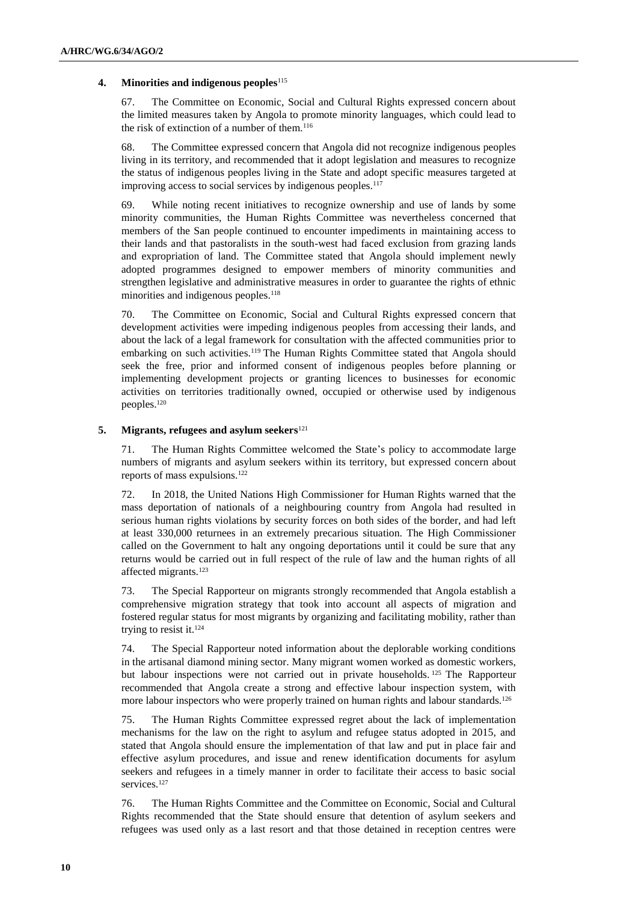### **4. Minorities and indigenous peoples**<sup>115</sup>

67. The Committee on Economic, Social and Cultural Rights expressed concern about the limited measures taken by Angola to promote minority languages, which could lead to the risk of extinction of a number of them.<sup>116</sup>

68. The Committee expressed concern that Angola did not recognize indigenous peoples living in its territory, and recommended that it adopt legislation and measures to recognize the status of indigenous peoples living in the State and adopt specific measures targeted at improving access to social services by indigenous peoples.<sup>117</sup>

69. While noting recent initiatives to recognize ownership and use of lands by some minority communities, the Human Rights Committee was nevertheless concerned that members of the San people continued to encounter impediments in maintaining access to their lands and that pastoralists in the south-west had faced exclusion from grazing lands and expropriation of land. The Committee stated that Angola should implement newly adopted programmes designed to empower members of minority communities and strengthen legislative and administrative measures in order to guarantee the rights of ethnic minorities and indigenous peoples.<sup>118</sup>

70. The Committee on Economic, Social and Cultural Rights expressed concern that development activities were impeding indigenous peoples from accessing their lands, and about the lack of a legal framework for consultation with the affected communities prior to embarking on such activities.<sup>119</sup> The Human Rights Committee stated that Angola should seek the free, prior and informed consent of indigenous peoples before planning or implementing development projects or granting licences to businesses for economic activities on territories traditionally owned, occupied or otherwise used by indigenous peoples.<sup>120</sup>

#### **5. Migrants, refugees and asylum seekers**<sup>121</sup>

71. The Human Rights Committee welcomed the State's policy to accommodate large numbers of migrants and asylum seekers within its territory, but expressed concern about reports of mass expulsions.<sup>122</sup>

72. In 2018, the United Nations High Commissioner for Human Rights warned that the mass deportation of nationals of a neighbouring country from Angola had resulted in serious human rights violations by security forces on both sides of the border, and had left at least 330,000 returnees in an extremely precarious situation. The High Commissioner called on the Government to halt any ongoing deportations until it could be sure that any returns would be carried out in full respect of the rule of law and the human rights of all affected migrants.<sup>123</sup>

73. The Special Rapporteur on migrants strongly recommended that Angola establish a comprehensive migration strategy that took into account all aspects of migration and fostered regular status for most migrants by organizing and facilitating mobility, rather than trying to resist it. $124$ 

74. The Special Rapporteur noted information about the deplorable working conditions in the artisanal diamond mining sector. Many migrant women worked as domestic workers, but labour inspections were not carried out in private households. <sup>125</sup> The Rapporteur recommended that Angola create a strong and effective labour inspection system, with more labour inspectors who were properly trained on human rights and labour standards.<sup>126</sup>

75. The Human Rights Committee expressed regret about the lack of implementation mechanisms for the law on the right to asylum and refugee status adopted in 2015, and stated that Angola should ensure the implementation of that law and put in place fair and effective asylum procedures, and issue and renew identification documents for asylum seekers and refugees in a timely manner in order to facilitate their access to basic social services.<sup>127</sup>

76. The Human Rights Committee and the Committee on Economic, Social and Cultural Rights recommended that the State should ensure that detention of asylum seekers and refugees was used only as a last resort and that those detained in reception centres were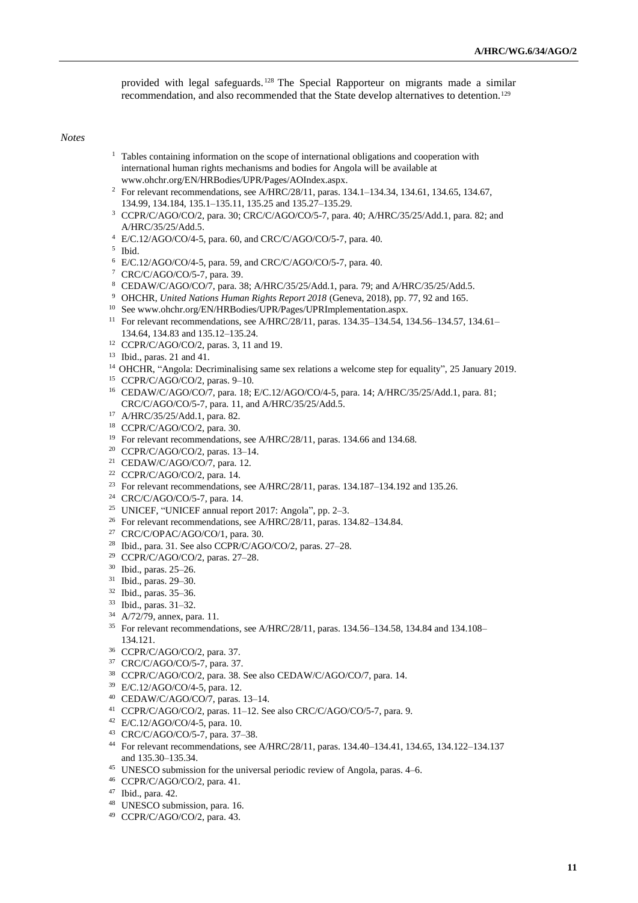provided with legal safeguards. <sup>128</sup> The Special Rapporteur on migrants made a similar recommendation, and also recommended that the State develop alternatives to detention.<sup>129</sup>

*Notes*

- <sup>1</sup> Tables containing information on the scope of international obligations and cooperation with international human rights mechanisms and bodies for Angola will be available at [www.ohchr.org/EN/HRBodies/UPR/Pages/AOIndex.aspx.](file://///conf-share1/conf/Groups/Human%20Rights%20Editing/Editors/Nash/www.ohchr.org/EN/HRBodies/UPR/Pages/AOIndex.aspx)
- <sup>2</sup> For relevant recommendations, see A/HRC/28/11, paras. 134.1-134.34, 134.61, 134.65, 134.67, 134.99, 134.184, 135.1–135.11, 135.25 and 135.27–135.29.
- CCPR/C/AGO/CO/2, para. 30; CRC/C/AGO/CO/5-7, para. 40; A/HRC/35/25/Add.1, para. 82; and A/HRC/35/25/Add.5.
- E/C.12/AGO/CO/4-5, para. 60, and CRC/C/AGO/CO/5-7, para. 40.

Ibid.

- E/C.12/AGO/CO/4-5, para. 59, and CRC/C/AGO/CO/5-7, para. 40.
- CRC/C/AGO/CO/5-7, para. 39.
- CEDAW/C/AGO/CO/7, para. 38; A/HRC/35/25/Add.1, para. 79; and A/HRC/35/25/Add.5.
- OHCHR, *United Nations Human Rights Report 2018* (Geneva, 2018), pp. 77, 92 and 165.
- Se[e www.ohchr.org/EN/HRBodies/UPR/Pages/UPRImplementation.aspx.](file://///conf-share1/conf/Groups/Human%20Rights%20Editing/Editors/Nash/www.ohchr.org/EN/HRBodies/UPR/Pages/UPRImplementation.aspx)
- <sup>11</sup> For relevant recommendations, see A/HRC/28/11, paras. 134.35-134.54, 134.56-134.57, 134.61-134.64, 134.83 and 135.12–135.24.
- CCPR/C/AGO/CO/2, paras. 3, 11 and 19.
- Ibid., paras. 21 and 41.
- OHCHR, "Angola: Decriminalising same sex relations a welcome step for equality", 25 January 2019.
- CCPR/C/AGO/CO/2, paras. 9–10.
- CEDAW/C/AGO/CO/7, para. 18; E/C.12/AGO/CO/4-5, para. 14; A/HRC/35/25/Add.1, para. 81; CRC/C/AGO/CO/5-7, para. 11, and A/HRC/35/25/Add.5.
- A/HRC/35/25/Add.1, para. 82.
- CCPR/C/AGO/CO/2, para. 30.
- <sup>19</sup> For relevant recommendations, see A/HRC/28/11, paras. 134.66 and 134.68.
- CCPR/C/AGO/CO/2, paras. 13–14.
- CEDAW/C/AGO/CO/7, para. 12.
- CCPR/C/AGO/CO/2, para. 14.
- <sup>23</sup> For relevant recommendations, see A/HRC/28/11, paras. 134.187-134.192 and 135.26.
- CRC/C/AGO/CO/5-7, para. 14.
- UNICEF, "UNICEF annual report 2017: Angola", pp. 2–3.
- <sup>26</sup> For relevant recommendations, see A/HRC/28/11, paras. 134.82–134.84.
- CRC/C/OPAC/AGO/CO/1, para. 30.
- Ibid., para. 31. See also CCPR/C/AGO/CO/2, paras. 27–28.
- CCPR/C/AGO/CO/2, paras. 27–28.
- Ibid., paras. 25–26.
- Ibid., paras. 29–30.
- Ibid., paras. 35–36.
- Ibid., paras. 31–32.
- A/72/79, annex, para. 11.
- For relevant recommendations, see A/HRC/28/11, paras. 134.56–134.58, 134.84 and 134.108– 134.121.
- CCPR/C/AGO/CO/2, para. 37.
- CRC/C/AGO/CO/5-7, para. 37.
- CCPR/C/AGO/CO/2, para. 38. See also CEDAW/C/AGO/CO/7, para. 14.
- E/C.12/AGO/CO/4-5, para. 12.
- CEDAW/C/AGO/CO/7, paras. 13–14.
- CCPR/C/AGO/CO/2, paras. 11–12. See also CRC/C/AGO/CO/5-7, para. 9.
- E/C.12/AGO/CO/4-5, para. 10.
- CRC/C/AGO/CO/5-7, para. 37–38.
- For relevant recommendations, see A/HRC/28/11, paras. 134.40–134.41, 134.65, 134.122–134.137 and 135.30–135.34.
- UNESCO submission for the universal periodic review of Angola, paras. 4–6.
- CCPR/C/AGO/CO/2, para. 41.
- Ibid., para. 42.
- UNESCO submission, para. 16.
- CCPR/C/AGO/CO/2, para. 43.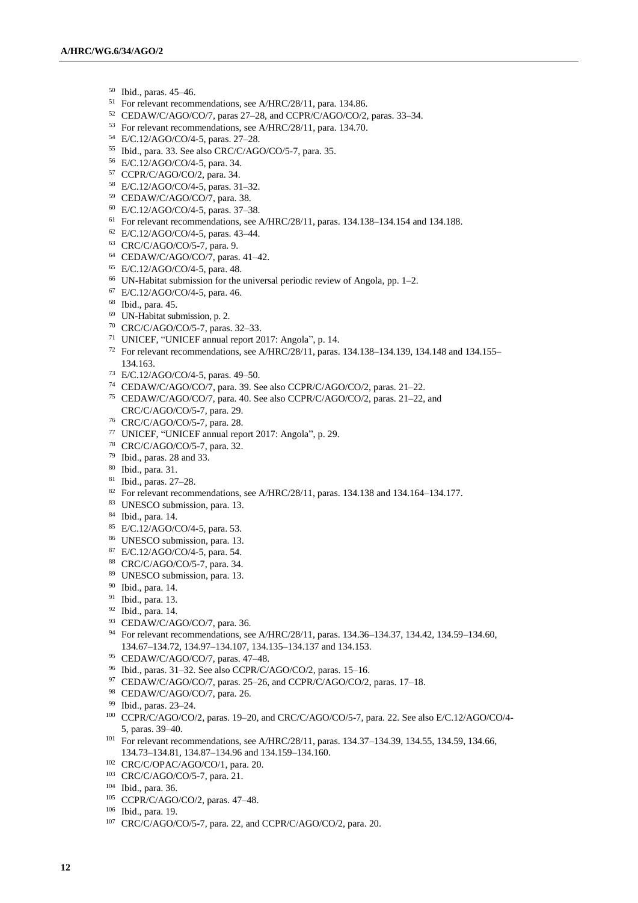- Ibid., paras. 45–46.
- For relevant recommendations, see A/HRC/28/11, para. 134.86.
- CEDAW/C/AGO/CO/7, paras 27–28, and CCPR/C/AGO/CO/2, paras. 33–34.
- For relevant recommendations, see A/HRC/28/11, para. 134.70.
- E/C.12/AGO/CO/4-5, paras. 27–28.
- Ibid., para. 33. See also CRC/C/AGO/CO/5-7, para. 35.
- E/C.12/AGO/CO/4-5, para. 34.
- CCPR/C/AGO/CO/2, para. 34.
- E/C.12/AGO/CO/4-5, paras. 31–32.
- CEDAW/C/AGO/CO/7, para. 38.
- E/C.12/AGO/CO/4-5, paras. 37–38.
- For relevant recommendations, see A/HRC/28/11, paras. 134.138–134.154 and 134.188.
- E/C.12/AGO/CO/4-5, paras. 43–44.
- CRC/C/AGO/CO/5-7, para. 9.
- CEDAW/C/AGO/CO/7, paras. 41–42.
- E/C.12/AGO/CO/4-5, para. 48.
- UN-Habitat submission for the universal periodic review of Angola, pp. 1–2.
- E/C.12/AGO/CO/4-5, para. 46.
- Ibid., para. 45.
- UN-Habitat submission, p. 2.
- CRC/C/AGO/CO/5-7, paras. 32–33.
- UNICEF, "UNICEF annual report 2017: Angola", p. 14.
- For relevant recommendations, see A/HRC/28/11, paras. 134.138–134.139, 134.148 and 134.155– 134.163.
- E/C.12/AGO/CO/4-5, paras. 49–50.
- CEDAW/C/AGO/CO/7, para. 39. See also CCPR/C/AGO/CO/2, paras. 21–22.
- CEDAW/C/AGO/CO/7, para. 40. See also CCPR/C/AGO/CO/2, paras. 21–22, and CRC/C/AGO/CO/5-7, para. 29.
- CRC/C/AGO/CO/5-7, para. 28.
- UNICEF, "UNICEF annual report 2017: Angola", p. 29.
- CRC/C/AGO/CO/5-7, para. 32.
- Ibid., paras. 28 and 33.
- Ibid., para. 31.
- Ibid., paras. 27–28.
- 82 For relevant recommendations, see A/HRC/28/11, paras. 134.138 and 134.164–134.177.
- UNESCO submission, para. 13.
- Ibid., para. 14.
- E/C.12/AGO/CO/4-5, para. 53.
- UNESCO submission, para. 13.
- E/C.12/AGO/CO/4-5, para. 54.
- CRC/C/AGO/CO/5-7, para. 34.
- UNESCO submission, para. 13.
- Ibid., para. 14.
- Ibid., para. 13.
- Ibid., para. 14.
- CEDAW/C/AGO/CO/7, para. 36.
- For relevant recommendations, see A/HRC/28/11, paras. 134.36–134.37, 134.42, 134.59–134.60, 134.67–134.72, 134.97–134.107, 134.135–134.137 and 134.153.
- CEDAW/C/AGO/CO/7, paras. 47–48.
- Ibid., paras. 31–32. See also CCPR/C/AGO/CO/2, paras. 15–16.
- <sup>97</sup> CEDAW/C/AGO/CO/7, paras. 25-26, and CCPR/C/AGO/CO/2, paras. 17-18.
- CEDAW/C/AGO/CO/7, para. 26.
- Ibid., paras. 23–24.
- CCPR/C/AGO/CO/2, paras. 19–20, and CRC/C/AGO/CO/5-7, para. 22. See also E/C.12/AGO/CO/4- 5, paras. 39–40.
- <sup>101</sup> For relevant recommendations, see A/HRC/28/11, paras. 134.37-134.39, 134.55, 134.59, 134.66, 134.73–134.81, 134.87–134.96 and 134.159–134.160.
- CRC/C/OPAC/AGO/CO/1, para. 20.
- CRC/C/AGO/CO/5-7, para. 21.
- Ibid., para. 36.
- CCPR/C/AGO/CO/2, paras. 47–48.
- Ibid., para. 19.
- CRC/C/AGO/CO/5-7, para. 22, and CCPR/C/AGO/CO/2, para. 20.